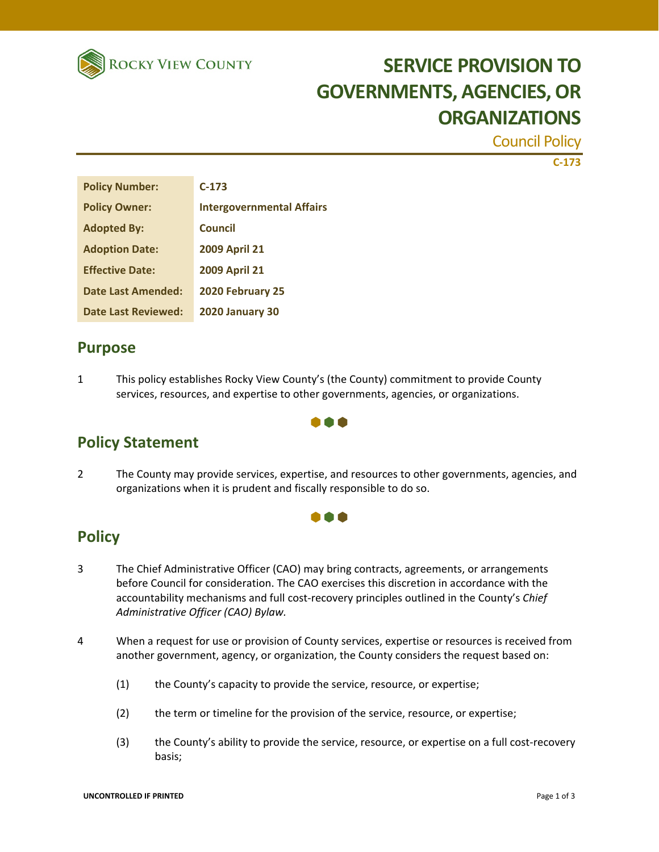

# **SERVICE PROVISION TO GOVERNMENTS, AGENCIES, OR ORGANIZATIONS**

Council Policy

**C‐173**

| <b>Policy Number:</b>      | $C-173$                          |
|----------------------------|----------------------------------|
| <b>Policy Owner:</b>       | <b>Intergovernmental Affairs</b> |
| <b>Adopted By:</b>         | <b>Council</b>                   |
| <b>Adoption Date:</b>      | <b>2009 April 21</b>             |
| <b>Effective Date:</b>     | <b>2009 April 21</b>             |
| Date Last Amended:         | 2020 February 25                 |
| <b>Date Last Reviewed:</b> | <b>2020 January 30</b>           |

## **Purpose**

1 This policy establishes Rocky View County's (the County) commitment to provide County services, resources, and expertise to other governments, agencies, or organizations.

### **Policy Statement**

2 The County may provide services, expertise, and resources to other governments, agencies, and organizations when it is prudent and fiscally responsible to do so.

000

000

### **Policy**

- 3 The Chief Administrative Officer (CAO) may bring contracts, agreements, or arrangements before Council for consideration. The CAO exercises this discretion in accordance with the accountability mechanisms and full cost‐recovery principles outlined in the County's *Chief Administrative Officer (CAO) Bylaw.*
- 4 When a request for use or provision of County services, expertise or resources is received from another government, agency, or organization, the County considers the request based on:
	- (1) the County's capacity to provide the service, resource, or expertise;
	- (2) the term or timeline for the provision of the service, resource, or expertise;
	- (3) the County's ability to provide the service, resource, or expertise on a full cost-recovery basis;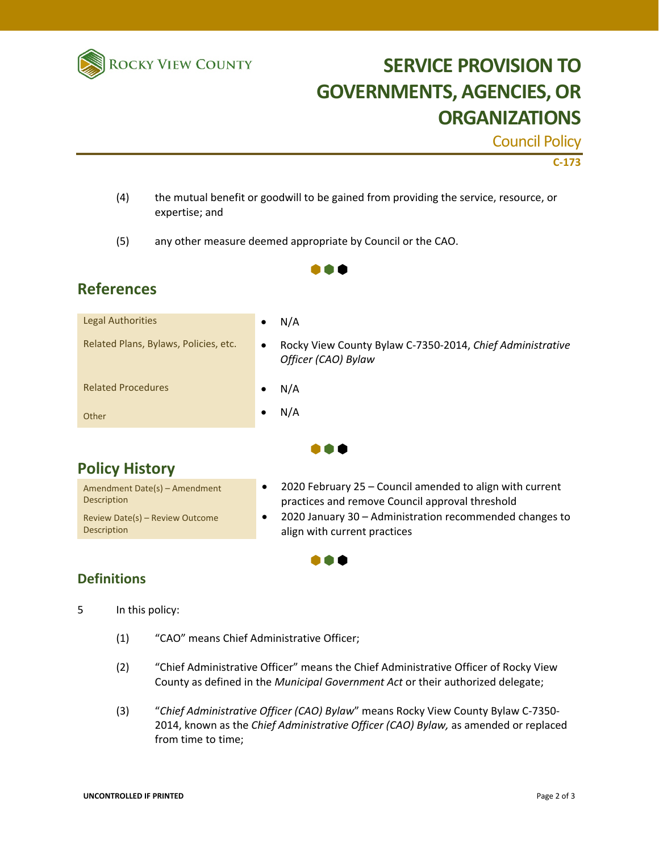

# **SERVICE PROVISION TO GOVERNMENTS, AGENCIES, OR ORGANIZATIONS**

Council Policy

#### **C‐173**

(4) the mutual benefit or goodwill to be gained from providing the service, resource, or expertise; and

 $\bullet \bullet \bullet$ 

(5) any other measure deemed appropriate by Council or the CAO.

## **References**

| <b>Legal Authorities</b>              | $\bullet$ | N/A                                                                              |
|---------------------------------------|-----------|----------------------------------------------------------------------------------|
| Related Plans, Bylaws, Policies, etc. | $\bullet$ | Rocky View County Bylaw C-7350-2014, Chief Administrative<br>Officer (CAO) Bylaw |
| <b>Related Procedures</b>             | $\bullet$ | N/A                                                                              |
| Other                                 | ٠         | N/A                                                                              |
|                                       |           |                                                                                  |

## **Policy History**

Amendment Date(s) – Amendment Description Review Date(s) – Review Outcome Description

- 2020 February 25 Council amended to align with current practices and remove Council approval threshold
- 2020 January 30 Administration recommended changes to align with current practices

### **Definitions**

5 In this policy:

- (1) "CAO" means Chief Administrative Officer;
- (2) "Chief Administrative Officer" means the Chief Administrative Officer of Rocky View County as defined in the *Municipal Government Act* or their authorized delegate;

 $\bullet\bullet\bullet$ 

(3) "*Chief Administrative Officer (CAO) Bylaw*" means Rocky View County Bylaw C‐7350‐ 2014, known as the *Chief Administrative Officer (CAO) Bylaw,* as amended or replaced from time to time;